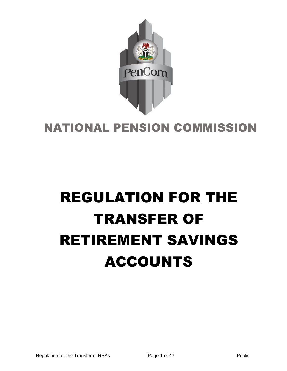

# NATIONAL PENSION COMMISSION

# REGULATION FOR THE TRANSFER OF RETIREMENT SAVINGS ACCOUNTS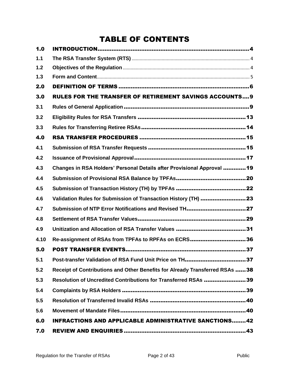# TABLE OF CONTENTS

| 1.0   |                                                                             |
|-------|-----------------------------------------------------------------------------|
| $1.1$ |                                                                             |
| 1.2   |                                                                             |
| 1.3   |                                                                             |
| 2.0   |                                                                             |
| 3.0   | <b>RULES FOR THE TRANSFER OF RETIREMENT SAVINGS ACCOUNTS9</b>               |
| 3.1   |                                                                             |
| 3.2   |                                                                             |
| 3.3   |                                                                             |
| 4.0   |                                                                             |
| 4.1   |                                                                             |
| 4.2   |                                                                             |
| 4.3   | Changes in RSA Holders' Personal Details after Provisional Approval  19     |
| 4.4   |                                                                             |
| 4.5   |                                                                             |
| 4.6   | Validation Rules for Submission of Transaction History (TH) 23              |
| 4.7   | Submission of NTP Error Notifications and Revised TH27                      |
| 4.8   |                                                                             |
| 4.9   |                                                                             |
| 4.10  | Re-assignment of RSAs from TPFAs to RPFAs on ECRS36                         |
| 5.0   |                                                                             |
| 5.1   | Post-transfer Validation of RSA Fund Unit Price on TH37                     |
| 5.2   | Receipt of Contributions and Other Benefits for Already Transferred RSAs 38 |
| 5.3   | Resolution of Uncredited Contributions for Transferred RSAs 39              |
| 5.4   |                                                                             |
| 5.5   |                                                                             |
| 5.6   |                                                                             |
| 6.0   | <b>INFRACTIONS AND APPLICABLE ADMINISTRATIVE SANCTIONS42</b>                |
| 7.0   |                                                                             |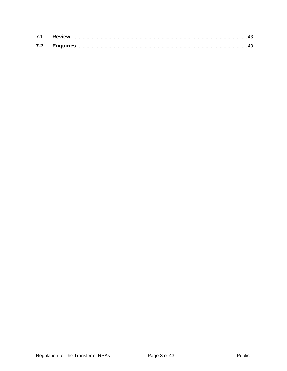| 7.1 |  |
|-----|--|
| 7.2 |  |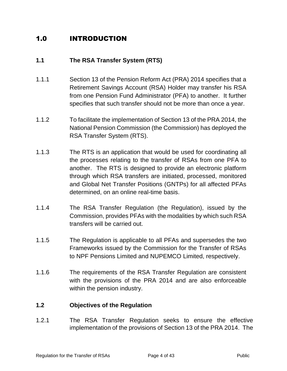## <span id="page-3-0"></span>1.0 INTRODUCTION

#### <span id="page-3-1"></span>**1.1 The RSA Transfer System (RTS)**

- 1.1.1 Section 13 of the Pension Reform Act (PRA) 2014 specifies that a Retirement Savings Account (RSA) Holder may transfer his RSA from one Pension Fund Administrator (PFA) to another. It further specifies that such transfer should not be more than once a year.
- 1.1.2 To facilitate the implementation of Section 13 of the PRA 2014, the National Pension Commission (the Commission) has deployed the RSA Transfer System (RTS).
- 1.1.3 The RTS is an application that would be used for coordinating all the processes relating to the transfer of RSAs from one PFA to another. The RTS is designed to provide an electronic platform through which RSA transfers are initiated, processed, monitored and Global Net Transfer Positions (GNTPs) for all affected PFAs determined, on an online real-time basis.
- 1.1.4 The RSA Transfer Regulation (the Regulation), issued by the Commission, provides PFAs with the modalities by which such RSA transfers will be carried out.
- 1.1.5 The Regulation is applicable to all PFAs and supersedes the two Frameworks issued by the Commission for the Transfer of RSAs to NPF Pensions Limited and NUPEMCO Limited, respectively.
- 1.1.6 The requirements of the RSA Transfer Regulation are consistent with the provisions of the PRA 2014 and are also enforceable within the pension industry.

#### <span id="page-3-2"></span>**1.2 Objectives of the Regulation**

1.2.1 The RSA Transfer Regulation seeks to ensure the effective implementation of the provisions of Section 13 of the PRA 2014. The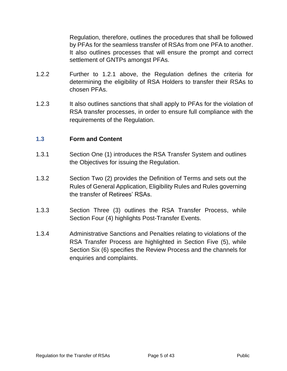Regulation, therefore, outlines the procedures that shall be followed by PFAs for the seamless transfer of RSAs from one PFA to another. It also outlines processes that will ensure the prompt and correct settlement of GNTPs amongst PFAs.

- 1.2.2 Further to 1.2.1 above, the Regulation defines the criteria for determining the eligibility of RSA Holders to transfer their RSAs to chosen PFAs.
- 1.2.3 It also outlines sanctions that shall apply to PFAs for the violation of RSA transfer processes, in order to ensure full compliance with the requirements of the Regulation.

#### <span id="page-4-0"></span>**1.3 Form and Content**

- 1.3.1 Section One (1) introduces the RSA Transfer System and outlines the Objectives for issuing the Regulation.
- 1.3.2 Section Two (2) provides the Definition of Terms and sets out the Rules of General Application, Eligibility Rules and Rules governing the transfer of Retirees' RSAs.
- 1.3.3 Section Three (3) outlines the RSA Transfer Process, while Section Four (4) highlights Post-Transfer Events.
- 1.3.4 Administrative Sanctions and Penalties relating to violations of the RSA Transfer Process are highlighted in Section Five (5), while Section Six (6) specifies the Review Process and the channels for enquiries and complaints.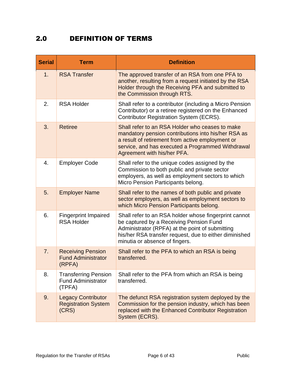### <span id="page-5-0"></span>2.0 DEFINITION OF TERMS

| <b>Serial</b> | <b>Term</b>                                                        | <b>Definition</b>                                                                                                                                                                                                                               |
|---------------|--------------------------------------------------------------------|-------------------------------------------------------------------------------------------------------------------------------------------------------------------------------------------------------------------------------------------------|
| 1.            | <b>RSA Transfer</b>                                                | The approved transfer of an RSA from one PFA to<br>another, resulting from a request initiated by the RSA<br>Holder through the Receiving PFA and submitted to<br>the Commission through RTS.                                                   |
| 2.            | <b>RSA Holder</b>                                                  | Shall refer to a contributor (including a Micro Pension<br>Contributor) or a retiree registered on the Enhanced<br><b>Contributor Registration System (ECRS).</b>                                                                               |
| 3.            | <b>Retiree</b>                                                     | Shall refer to an RSA Holder who ceases to make<br>mandatory pension contributions into his/her RSA as<br>a result of retirement from active employment or<br>service, and has executed a Programmed Withdrawal<br>Agreement with his/her PFA.  |
| 4.            | <b>Employer Code</b>                                               | Shall refer to the unique codes assigned by the<br>Commission to both public and private sector<br>employers, as well as employment sectors to which<br>Micro Pension Participants belong.                                                      |
| 5.            | <b>Employer Name</b>                                               | Shall refer to the names of both public and private<br>sector employers, as well as employment sectors to<br>which Micro Pension Participants belong.                                                                                           |
| 6.            | <b>Fingerprint Impaired</b><br><b>RSA Holder</b>                   | Shall refer to an RSA holder whose fingerprint cannot<br>be captured by a Receiving Pension Fund<br>Administrator (RPFA) at the point of submitting<br>his/her RSA transfer request, due to either diminished<br>minutia or absence of fingers. |
| 7.            | <b>Receiving Pension</b><br><b>Fund Administrator</b><br>(RPFA)    | Shall refer to the PFA to which an RSA is being<br>transferred.                                                                                                                                                                                 |
| 8.            | <b>Transferring Pension</b><br><b>Fund Administrator</b><br>(TPFA) | Shall refer to the PFA from which an RSA is being<br>transferred.                                                                                                                                                                               |
| 9.            | <b>Legacy Contributor</b><br><b>Registration System</b><br>(CRS)   | The defunct RSA registration system deployed by the<br>Commission for the pension industry, which has been<br>replaced with the Enhanced Contributor Registration<br>System (ECRS).                                                             |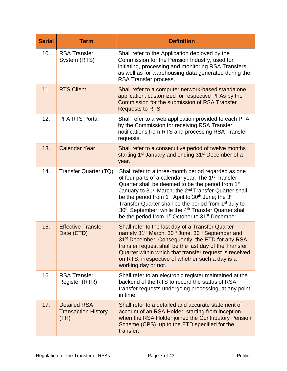| <b>Serial</b> | <b>Term</b>                                               | <b>Definition</b>                                                                                                                                                                                                                                                                                                                                                                                                                                                                                                                                                                                  |
|---------------|-----------------------------------------------------------|----------------------------------------------------------------------------------------------------------------------------------------------------------------------------------------------------------------------------------------------------------------------------------------------------------------------------------------------------------------------------------------------------------------------------------------------------------------------------------------------------------------------------------------------------------------------------------------------------|
| 10.           | <b>RSA Transfer</b><br>System (RTS)                       | Shall refer to the Application deployed by the<br>Commission for the Pension Industry, used for<br>initiating, processing and monitoring RSA Transfers,<br>as well as for warehousing data generated during the<br>RSA Transfer process.                                                                                                                                                                                                                                                                                                                                                           |
| 11.           | <b>RTS Client</b>                                         | Shall refer to a computer network-based standalone<br>application, customized for respective PFAs by the<br>Commission for the submission of RSA Transfer<br><b>Requests to RTS.</b>                                                                                                                                                                                                                                                                                                                                                                                                               |
| 12.           | <b>PFA RTS Portal</b>                                     | Shall refer to a web application provided to each PFA<br>by the Commission for receiving RSA Transfer<br>notifications from RTS and processing RSA Transfer<br>requests.                                                                                                                                                                                                                                                                                                                                                                                                                           |
| 13.           | <b>Calendar Year</b>                                      | Shall refer to a consecutive period of twelve months<br>starting 1 <sup>st</sup> January and ending 31 <sup>st</sup> December of a<br>year.                                                                                                                                                                                                                                                                                                                                                                                                                                                        |
| 14.           | Transfer Quarter (TQ)                                     | Shall refer to a three-month period regarded as one<br>of four parts of a calendar year. The 1 <sup>st</sup> Transfer<br>Quarter shall be deemed to be the period from 1 <sup>st</sup><br>January to 31 <sup>st</sup> March; the 2 <sup>nd</sup> Transfer Quarter shall<br>be the period from 1 <sup>st</sup> April to 30 <sup>th</sup> June; the 3 <sup>rd</sup><br>Transfer Quarter shall be the period from 1 <sup>st</sup> July to<br>30 <sup>th</sup> September; while the 4 <sup>th</sup> Transfer Quarter shall<br>be the period from 1 <sup>st</sup> October to 31 <sup>st</sup> December. |
| 15.           | <b>Effective Transfer</b><br>Date (ETD)                   | Shall refer to the last day of a Transfer Quarter<br>namely 31 <sup>st</sup> March, 30 <sup>th</sup> June, 30 <sup>th</sup> September and<br>31 <sup>st</sup> December. Consequently, the ETD for any RSA<br>transfer request shall be the last day of the Transfer<br>Quarter within which that transfer request is received<br>on RTS, irrespective of whether such a day is a<br>working day or not.                                                                                                                                                                                            |
| 16.           | <b>RSA Transfer</b><br>Register (RTR)                     | Shall refer to an electronic register maintained at the<br>backend of the RTS to record the status of RSA<br>transfer requests undergoing processing, at any point<br>in time.                                                                                                                                                                                                                                                                                                                                                                                                                     |
| 17.           | <b>Detailed RSA</b><br><b>Transaction History</b><br>(TH) | Shall refer to a detailed and accurate statement of<br>account of an RSA Holder, starting from inception<br>when the RSA Holder joined the Contributory Pension<br>Scheme (CPS), up to the ETD specified for the<br>transfer.                                                                                                                                                                                                                                                                                                                                                                      |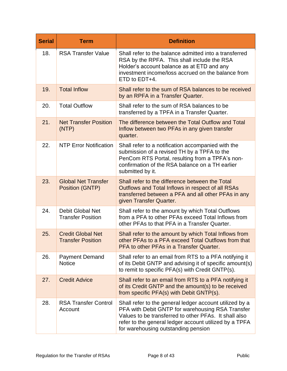| <b>Serial</b> | <b>Term</b>                                          | <b>Definition</b>                                                                                                                                                                                                                                                     |
|---------------|------------------------------------------------------|-----------------------------------------------------------------------------------------------------------------------------------------------------------------------------------------------------------------------------------------------------------------------|
| 18.           | <b>RSA Transfer Value</b>                            | Shall refer to the balance admitted into a transferred<br>RSA by the RPFA. This shall include the RSA<br>Holder's account balance as at ETD and any<br>investment income/loss accrued on the balance from<br>ETD to EDT+4.                                            |
| 19.           | <b>Total Inflow</b>                                  | Shall refer to the sum of RSA balances to be received<br>by an RPFA in a Transfer Quarter.                                                                                                                                                                            |
| 20.           | <b>Total Outflow</b>                                 | Shall refer to the sum of RSA balances to be<br>transferred by a TPFA in a Transfer Quarter.                                                                                                                                                                          |
| 21.           | <b>Net Transfer Position</b><br>(NTP)                | The difference between the Total Outflow and Total<br>Inflow between two PFAs in any given transfer<br>quarter.                                                                                                                                                       |
| 22.           | <b>NTP Error Notification</b>                        | Shall refer to a notification accompanied with the<br>submission of a revised TH by a TPFA to the<br>PenCom RTS Portal, resulting from a TPFA's non-<br>confirmation of the RSA balance on a TH earlier<br>submitted by it.                                           |
| 23.           | <b>Global Net Transfer</b><br>Position (GNTP)        | Shall refer to the difference between the Total<br>Outflows and Total Inflows in respect of all RSAs<br>transferred between a PFA and all other PFAs in any<br>given Transfer Quarter.                                                                                |
| 24.           | Debit Global Net<br><b>Transfer Position</b>         | Shall refer to the amount by which Total Outflows<br>from a PFA to other PFAs exceed Total Inflows from<br>other PFAs to that PFA in a Transfer Quarter.                                                                                                              |
| 25.           | <b>Credit Global Net</b><br><b>Transfer Position</b> | Shall refer to the amount by which Total Inflows from<br>other PFAs to a PFA exceed Total Outflows from that<br>PFA to other PFAs in a Transfer Quarter.                                                                                                              |
| 26.           | <b>Payment Demand</b><br><b>Notice</b>               | Shall refer to an email from RTS to a PFA notifying it<br>of its Debit GNTP and advising it of specific amount(s)<br>to remit to specific PFA(s) with Credit GNTP(s).                                                                                                 |
| 27.           | <b>Credit Advice</b>                                 | Shall refer to an email from RTS to a PFA notifying it<br>of its Credit GNTP and the amount(s) to be received<br>from specific PFA(s) with Debit GNTP(s).                                                                                                             |
| 28.           | <b>RSA Transfer Control</b><br>Account               | Shall refer to the general ledger account utilized by a<br>PFA with Debit GNTP for warehousing RSA Transfer<br>Values to be transferred to other PFAs. It shall also<br>refer to the general ledger account utilized by a TPFA<br>for warehousing outstanding pension |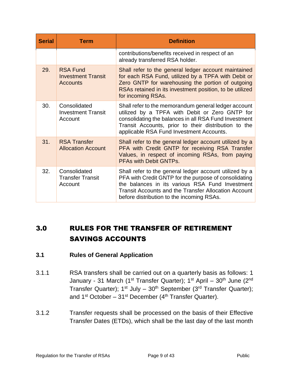| <b>Serial</b> | <b>Term</b>                                                     | <b>Definition</b>                                                                                                                                                                                                                                                               |  |  |  |  |
|---------------|-----------------------------------------------------------------|---------------------------------------------------------------------------------------------------------------------------------------------------------------------------------------------------------------------------------------------------------------------------------|--|--|--|--|
|               |                                                                 | contributions/benefits received in respect of an<br>already transferred RSA holder.                                                                                                                                                                                             |  |  |  |  |
| 29.           | <b>RSA Fund</b><br><b>Investment Transit</b><br><b>Accounts</b> | Shall refer to the general ledger account maintained<br>for each RSA Fund, utilized by a TPFA with Debit or<br>Zero GNTP for warehousing the portion of outgoing<br>RSAs retained in its investment position, to be utilized<br>for incoming RSAs.                              |  |  |  |  |
| 30.           | Consolidated<br><b>Investment Transit</b><br>Account            | Shall refer to the memorandum general ledger account<br>utilized by a TPFA with Debit or Zero GNTP for<br>consolidating the balances in all RSA Fund Investment<br>Transit Accounts, prior to their distribution to the<br>applicable RSA Fund Investment Accounts.             |  |  |  |  |
| 31.           | <b>RSA Transfer</b><br><b>Allocation Account</b>                | Shall refer to the general ledger account utilized by a<br>PFA with Credit GNTP for receiving RSA Transfer<br>Values, in respect of incoming RSAs, from paying<br><b>PFAs with Debit GNTPs.</b>                                                                                 |  |  |  |  |
| 32.           | Consolidated<br><b>Transfer Transit</b><br>Account              | Shall refer to the general ledger account utilized by a<br>PFA with Credit GNTP for the purpose of consolidating<br>the balances in its various RSA Fund Investment<br><b>Transit Accounts and the Transfer Allocation Account</b><br>before distribution to the incoming RSAs. |  |  |  |  |

# <span id="page-8-0"></span>3.0 RULES FOR THE TRANSFER OF RETIREMENT SAVINGS ACCOUNTS

#### <span id="page-8-1"></span>**3.1 Rules of General Application**

- 3.1.1 RSA transfers shall be carried out on a quarterly basis as follows: 1 January - 31 March (1<sup>st</sup> Transfer Quarter); 1<sup>st</sup> April – 30<sup>th</sup> June (2<sup>nd</sup> Transfer Quarter); 1<sup>st</sup> July – 30<sup>th</sup> September (3<sup>rd</sup> Transfer Quarter); and 1<sup>st</sup> October – 31<sup>st</sup> December (4<sup>th</sup> Transfer Quarter).
- 3.1.2 Transfer requests shall be processed on the basis of their Effective Transfer Dates (ETDs), which shall be the last day of the last month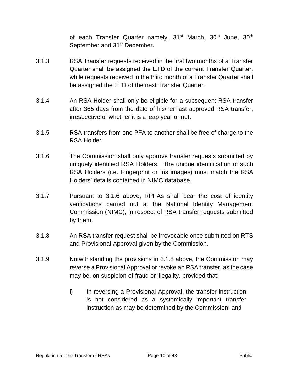of each Transfer Quarter namely, 31<sup>st</sup> March, 30<sup>th</sup> June, 30<sup>th</sup> September and 31<sup>st</sup> December.

- 3.1.3 RSA Transfer requests received in the first two months of a Transfer Quarter shall be assigned the ETD of the current Transfer Quarter, while requests received in the third month of a Transfer Quarter shall be assigned the ETD of the next Transfer Quarter.
- 3.1.4 An RSA Holder shall only be eligible for a subsequent RSA transfer after 365 days from the date of his/her last approved RSA transfer, irrespective of whether it is a leap year or not.
- 3.1.5 RSA transfers from one PFA to another shall be free of charge to the RSA Holder.
- 3.1.6 The Commission shall only approve transfer requests submitted by uniquely identified RSA Holders. The unique identification of such RSA Holders (i.e. Fingerprint or Iris images) must match the RSA Holders' details contained in NIMC database.
- 3.1.7 Pursuant to 3.1.6 above, RPFAs shall bear the cost of identity verifications carried out at the National Identity Management Commission (NIMC), in respect of RSA transfer requests submitted by them.
- 3.1.8 An RSA transfer request shall be irrevocable once submitted on RTS and Provisional Approval given by the Commission.
- 3.1.9 Notwithstanding the provisions in 3.1.8 above, the Commission may reverse a Provisional Approval or revoke an RSA transfer, as the case may be, on suspicion of fraud or illegality, provided that:
	- i) In reversing a Provisional Approval, the transfer instruction is not considered as a systemically important transfer instruction as may be determined by the Commission; and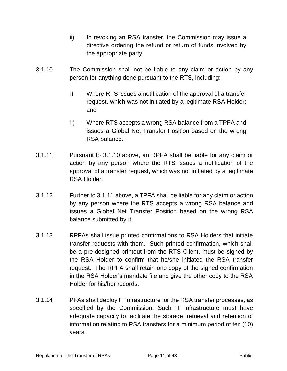- ii) In revoking an RSA transfer, the Commission may issue a directive ordering the refund or return of funds involved by the appropriate party.
- 3.1.10 The Commission shall not be liable to any claim or action by any person for anything done pursuant to the RTS, including:
	- i) Where RTS issues a notification of the approval of a transfer request, which was not initiated by a legitimate RSA Holder; and
	- ii) Where RTS accepts a wrong RSA balance from a TPFA and issues a Global Net Transfer Position based on the wrong RSA balance.
- 3.1.11 Pursuant to 3.1.10 above, an RPFA shall be liable for any claim or action by any person where the RTS issues a notification of the approval of a transfer request, which was not initiated by a legitimate RSA Holder.
- 3.1.12 Further to 3.1.11 above, a TPFA shall be liable for any claim or action by any person where the RTS accepts a wrong RSA balance and issues a Global Net Transfer Position based on the wrong RSA balance submitted by it.
- 3.1.13 RPFAs shall issue printed confirmations to RSA Holders that initiate transfer requests with them. Such printed confirmation, which shall be a pre-designed printout from the RTS Client, must be signed by the RSA Holder to confirm that he/she initiated the RSA transfer request. The RPFA shall retain one copy of the signed confirmation in the RSA Holder's mandate file and give the other copy to the RSA Holder for his/her records.
- 3.1.14 PFAs shall deploy IT infrastructure for the RSA transfer processes, as specified by the Commission. Such IT infrastructure must have adequate capacity to facilitate the storage, retrieval and retention of information relating to RSA transfers for a minimum period of ten (10) years.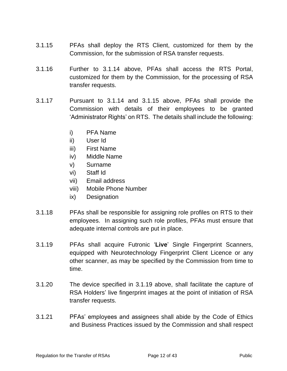- 3.1.15 PFAs shall deploy the RTS Client, customized for them by the Commission, for the submission of RSA transfer requests.
- 3.1.16 Further to 3.1.14 above, PFAs shall access the RTS Portal, customized for them by the Commission, for the processing of RSA transfer requests.
- 3.1.17 Pursuant to 3.1.14 and 3.1.15 above, PFAs shall provide the Commission with details of their employees to be granted 'Administrator Rights' on RTS. The details shall include the following:
	- i) PFA Name
	- ii) User Id
	- iii) First Name
	- iv) Middle Name
	- v) Surname
	- vi) Staff Id
	- vii) Email address
	- viii) Mobile Phone Number
	- ix) Designation
- 3.1.18 PFAs shall be responsible for assigning role profiles on RTS to their employees. In assigning such role profiles, PFAs must ensure that adequate internal controls are put in place.
- 3.1.19 PFAs shall acquire Futronic '**Live**' Single Fingerprint Scanners, equipped with Neurotechnology Fingerprint Client Licence or any other scanner, as may be specified by the Commission from time to time.
- 3.1.20 The device specified in 3.1.19 above, shall facilitate the capture of RSA Holders' live fingerprint images at the point of initiation of RSA transfer requests.
- 3.1.21 PFAs' employees and assignees shall abide by the Code of Ethics and Business Practices issued by the Commission and shall respect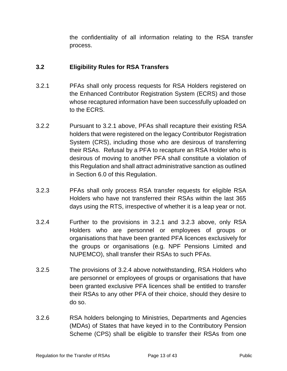the confidentiality of all information relating to the RSA transfer process.

#### <span id="page-12-0"></span>**3.2 Eligibility Rules for RSA Transfers**

- 3.2.1 PFAs shall only process requests for RSA Holders registered on the Enhanced Contributor Registration System (ECRS) and those whose recaptured information have been successfully uploaded on to the ECRS.
- 3.2.2 Pursuant to 3.2.1 above, PFAs shall recapture their existing RSA holders that were registered on the legacy Contributor Registration System (CRS), including those who are desirous of transferring their RSAs. Refusal by a PFA to recapture an RSA Holder who is desirous of moving to another PFA shall constitute a violation of this Regulation and shall attract administrative sanction as outlined in Section 6.0 of this Regulation.
- 3.2.3 PFAs shall only process RSA transfer requests for eligible RSA Holders who have not transferred their RSAs within the last 365 days using the RTS, irrespective of whether it is a leap year or not.
- 3.2.4 Further to the provisions in 3.2.1 and 3.2.3 above, only RSA Holders who are personnel or employees of groups or organisations that have been granted PFA licences exclusively for the groups or organisations (e.g. NPF Pensions Limited and NUPEMCO), shall transfer their RSAs to such PFAs.
- 3.2.5 The provisions of 3.2.4 above notwithstanding, RSA Holders who are personnel or employees of groups or organisations that have been granted exclusive PFA licences shall be entitled to transfer their RSAs to any other PFA of their choice, should they desire to do so.
- 3.2.6 RSA holders belonging to Ministries, Departments and Agencies (MDAs) of States that have keyed in to the Contributory Pension Scheme (CPS) shall be eligible to transfer their RSAs from one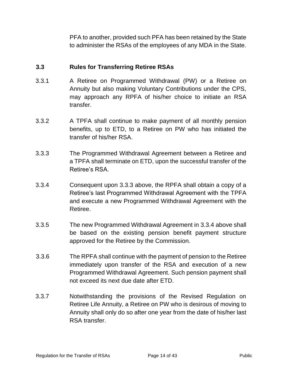PFA to another, provided such PFA has been retained by the State to administer the RSAs of the employees of any MDA in the State.

#### <span id="page-13-0"></span>**3.3 Rules for Transferring Retiree RSAs**

- 3.3.1 A Retiree on Programmed Withdrawal (PW) or a Retiree on Annuity but also making Voluntary Contributions under the CPS, may approach any RPFA of his/her choice to initiate an RSA transfer.
- 3.3.2 A TPFA shall continue to make payment of all monthly pension benefits, up to ETD, to a Retiree on PW who has initiated the transfer of his/her RSA.
- 3.3.3 The Programmed Withdrawal Agreement between a Retiree and a TPFA shall terminate on ETD, upon the successful transfer of the Retiree's RSA.
- 3.3.4 Consequent upon 3.3.3 above, the RPFA shall obtain a copy of a Retiree's last Programmed Withdrawal Agreement with the TPFA and execute a new Programmed Withdrawal Agreement with the Retiree.
- 3.3.5 The new Programmed Withdrawal Agreement in 3.3.4 above shall be based on the existing pension benefit payment structure approved for the Retiree by the Commission.
- 3.3.6 The RPFA shall continue with the payment of pension to the Retiree immediately upon transfer of the RSA and execution of a new Programmed Withdrawal Agreement. Such pension payment shall not exceed its next due date after ETD.
- 3.3.7 Notwithstanding the provisions of the Revised Regulation on Retiree Life Annuity, a Retiree on PW who is desirous of moving to Annuity shall only do so after one year from the date of his/her last RSA transfer.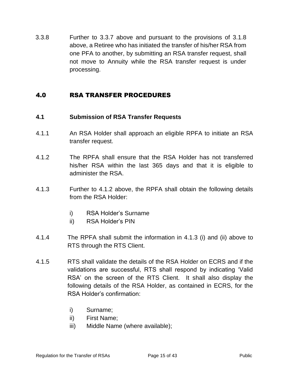3.3.8 Further to 3.3.7 above and pursuant to the provisions of 3.1.8 above, a Retiree who has initiated the transfer of his/her RSA from one PFA to another, by submitting an RSA transfer request, shall not move to Annuity while the RSA transfer request is under processing.

#### <span id="page-14-0"></span>4.0 RSA TRANSFER PROCEDURES

#### <span id="page-14-1"></span>**4.1 Submission of RSA Transfer Requests**

- 4.1.1 An RSA Holder shall approach an eligible RPFA to initiate an RSA transfer request.
- 4.1.2 The RPFA shall ensure that the RSA Holder has not transferred his/her RSA within the last 365 days and that it is eligible to administer the RSA.
- 4.1.3 Further to 4.1.2 above, the RPFA shall obtain the following details from the RSA Holder:
	- i) RSA Holder's Surname
	- ii) RSA Holder's PIN
- 4.1.4 The RPFA shall submit the information in 4.1.3 (i) and (ii) above to RTS through the RTS Client.
- 4.1.5 RTS shall validate the details of the RSA Holder on ECRS and if the validations are successful, RTS shall respond by indicating 'Valid RSA' on the screen of the RTS Client. It shall also display the following details of the RSA Holder, as contained in ECRS, for the RSA Holder's confirmation:
	- i) Surname;
	- ii) First Name;
	- iii) Middle Name (where available);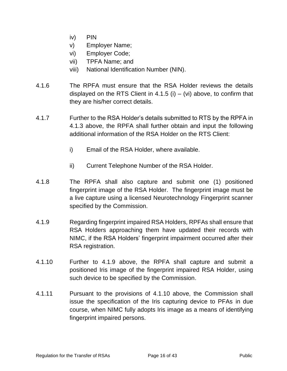- iv) PIN
- v) Employer Name;
- vi) Employer Code;
- vii) TPFA Name; and
- viii) National Identification Number (NIN).
- 4.1.6 The RPFA must ensure that the RSA Holder reviews the details displayed on the RTS Client in 4.1.5 (i)  $-$  (vi) above, to confirm that they are his/her correct details.
- 4.1.7 Further to the RSA Holder's details submitted to RTS by the RPFA in 4.1.3 above, the RPFA shall further obtain and input the following additional information of the RSA Holder on the RTS Client:
	- i) Email of the RSA Holder, where available.
	- ii) Current Telephone Number of the RSA Holder.
- 4.1.8 The RPFA shall also capture and submit one (1) positioned fingerprint image of the RSA Holder. The fingerprint image must be a live capture using a licensed Neurotechnology Fingerprint scanner specified by the Commission.
- 4.1.9 Regarding fingerprint impaired RSA Holders, RPFAs shall ensure that RSA Holders approaching them have updated their records with NIMC, if the RSA Holders' fingerprint impairment occurred after their RSA registration.
- 4.1.10 Further to 4.1.9 above, the RPFA shall capture and submit a positioned Iris image of the fingerprint impaired RSA Holder, using such device to be specified by the Commission.
- 4.1.11 Pursuant to the provisions of 4.1.10 above, the Commission shall issue the specification of the Iris capturing device to PFAs in due course, when NIMC fully adopts Iris image as a means of identifying fingerprint impaired persons.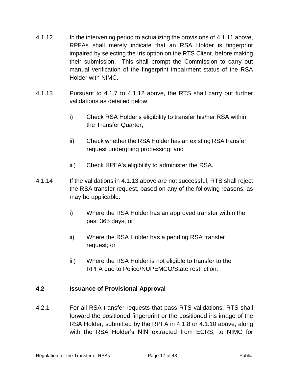- 4.1.12 In the intervening period to actualizing the provisions of 4.1.11 above, RPFAs shall merely indicate that an RSA Holder is fingerprint impaired by selecting the Iris option on the RTS Client, before making their submission. This shall prompt the Commission to carry out manual verification of the fingerprint impairment status of the RSA Holder with NIMC.
- 4.1.13 Pursuant to 4.1.7 to 4.1.12 above, the RTS shall carry out further validations as detailed below:
	- i) Check RSA Holder's eligibility to transfer his/her RSA within the Transfer Quarter;
	- ii) Check whether the RSA Holder has an existing RSA transfer request undergoing processing; and
	- iii) Check RPFA's eligibility to administer the RSA.
- 4.1.14 If the validations in 4.1.13 above are not successful, RTS shall reject the RSA transfer request, based on any of the following reasons, as may be applicable:
	- i) Where the RSA Holder has an approved transfer within the past 365 days; or
	- ii) Where the RSA Holder has a pending RSA transfer request; or
	- iii) Where the RSA Holder is not eligible to transfer to the RPFA due to Police/NUPEMCO/State restriction.

#### <span id="page-16-0"></span>**4.2 Issuance of Provisional Approval**

4.2.1 For all RSA transfer requests that pass RTS validations, RTS shall forward the positioned fingerprint or the positioned iris image of the RSA Holder, submitted by the RPFA in 4.1.8 or 4.1.10 above, along with the RSA Holder's NIN extracted from ECRS, to NIMC for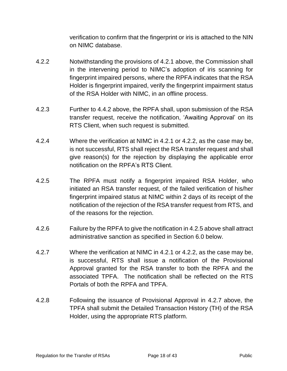verification to confirm that the fingerprint or iris is attached to the NIN on NIMC database.

- 4.2.2 Notwithstanding the provisions of 4.2.1 above, the Commission shall in the intervening period to NIMC's adoption of iris scanning for fingerprint impaired persons, where the RPFA indicates that the RSA Holder is fingerprint impaired, verify the fingerprint impairment status of the RSA Holder with NIMC, in an offline process.
- 4.2.3 Further to 4.4.2 above, the RPFA shall, upon submission of the RSA transfer request, receive the notification, 'Awaiting Approval' on its RTS Client, when such request is submitted.
- 4.2.4 Where the verification at NIMC in 4.2.1 or 4.2.2, as the case may be, is not successful, RTS shall reject the RSA transfer request and shall give reason(s) for the rejection by displaying the applicable error notification on the RPFA's RTS Client.
- 4.2.5 The RPFA must notify a fingerprint impaired RSA Holder, who initiated an RSA transfer request, of the failed verification of his/her fingerprint impaired status at NIMC within 2 days of its receipt of the notification of the rejection of the RSA transfer request from RTS, and of the reasons for the rejection.
- 4.2.6 Failure by the RPFA to give the notification in 4.2.5 above shall attract administrative sanction as specified in Section 6.0 below.
- 4.2.7 Where the verification at NIMC in 4.2.1 or 4.2.2, as the case may be, is successful, RTS shall issue a notification of the Provisional Approval granted for the RSA transfer to both the RPFA and the associated TPFA. The notification shall be reflected on the RTS Portals of both the RPFA and TPFA.
- 4.2.8 Following the issuance of Provisional Approval in 4.2.7 above, the TPFA shall submit the Detailed Transaction History (TH) of the RSA Holder, using the appropriate RTS platform.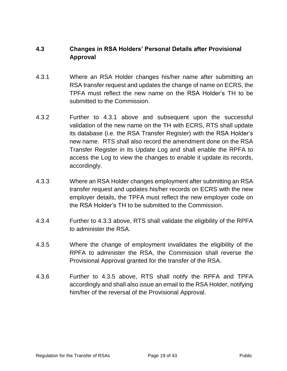#### <span id="page-18-0"></span>**4.3 Changes in RSA Holders' Personal Details after Provisional Approval**

- 4.3.1 Where an RSA Holder changes his/her name after submitting an RSA transfer request and updates the change of name on ECRS, the TPFA must reflect the new name on the RSA Holder's TH to be submitted to the Commission.
- 4.3.2 Further to 4.3.1 above and subsequent upon the successful validation of the new name on the TH with ECRS, RTS shall update its database (i.e. the RSA Transfer Register) with the RSA Holder's new name. RTS shall also record the amendment done on the RSA Transfer Register in its Update Log and shall enable the RPFA to access the Log to view the changes to enable it update its records, accordingly.
- 4.3.3 Where an RSA Holder changes employment after submitting an RSA transfer request and updates his/her records on ECRS with the new employer details, the TPFA must reflect the new employer code on the RSA Holder's TH to be submitted to the Commission.
- 4.3.4 Further to 4.3.3 above, RTS shall validate the eligibility of the RPFA to administer the RSA.
- 4.3.5 Where the change of employment invalidates the eligibility of the RPFA to administer the RSA, the Commission shall reverse the Provisional Approval granted for the transfer of the RSA.
- 4.3.6 Further to 4.3.5 above, RTS shall notify the RPFA and TPFA accordingly and shall also issue an email to the RSA Holder, notifying him/her of the reversal of the Provisional Approval.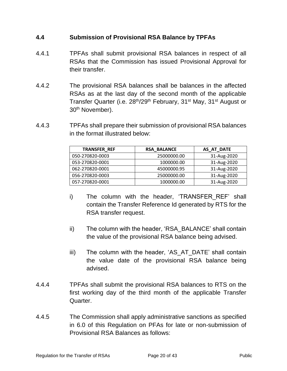#### <span id="page-19-0"></span>**4.4 Submission of Provisional RSA Balance by TPFAs**

- 4.4.1 TPFAs shall submit provisional RSA balances in respect of all RSAs that the Commission has issued Provisional Approval for their transfer.
- 4.4.2 The provisional RSA balances shall be balances in the affected RSAs as at the last day of the second month of the applicable Transfer Quarter (i.e. 28<sup>th</sup>/29<sup>th</sup> February, 31<sup>st</sup> May, 31<sup>st</sup> August or 30<sup>th</sup> November).
- 4.4.3 TPFAs shall prepare their submission of provisional RSA balances in the format illustrated below:

| <b>TRANSFER REF</b> | <b>RSA BALANCE</b> | AS AT DATE  |
|---------------------|--------------------|-------------|
| 050-270820-0003     | 25000000.00        | 31-Aug-2020 |
| 053-270820-0001     | 1000000.00         | 31-Aug-2020 |
| 062-270820-0001     | 45000000.95        | 31-Aug-2020 |
| 056-270820-0003     | 25000000.00        | 31-Aug-2020 |
| 057-270820-0001     | 1000000.00         | 31-Aug-2020 |

- i) The column with the header, 'TRANSFER REF' shall contain the Transfer Reference Id generated by RTS for the RSA transfer request.
- ii) The column with the header, 'RSA\_BALANCE' shall contain the value of the provisional RSA balance being advised.
- iii) The column with the header, 'AS\_AT\_DATE' shall contain the value date of the provisional RSA balance being advised.
- 4.4.4 TPFAs shall submit the provisional RSA balances to RTS on the first working day of the third month of the applicable Transfer Quarter.
- 4.4.5 The Commission shall apply administrative sanctions as specified in 6.0 of this Regulation on PFAs for late or non-submission of Provisional RSA Balances as follows: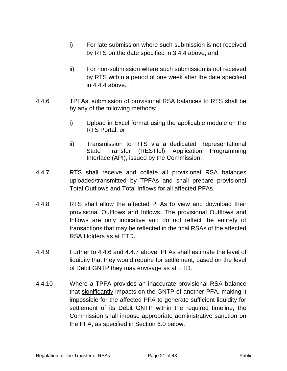- i) For late submission where such submission is not received by RTS on the date specified in 3.4.4 above; and
- ii) For non-submission where such submission is not received by RTS within a period of one week after the date specified in 4.4.4 above.
- 4.4.6 TPFAs' submission of provisional RSA balances to RTS shall be by any of the following methods:
	- i) Upload in Excel format using the applicable module on the RTS Portal; or
	- ii) Transmission to RTS via a dedicated Representational State Transfer (RESTful) Application Programming Interface (API), issued by the Commission.
- 4.4.7 RTS shall receive and collate all provisional RSA balances uploaded/transmitted by TPFAs and shall prepare provisional Total Outflows and Total Inflows for all affected PFAs.
- 4.4.8 RTS shall allow the affected PFAs to view and download their provisional Outflows and Inflows. The provisional Outflows and Inflows are only indicative and do not reflect the entirety of transactions that may be reflected in the final RSAs of the affected RSA Holders as at ETD.
- 4.4.9 Further to 4.4.6 and 4.4.7 above, PFAs shall estimate the level of liquidity that they would require for settlement, based on the level of Debit GNTP they may envisage as at ETD.
- 4.4.10 Where a TPFA provides an inaccurate provisional RSA balance that significantly impacts on the GNTP of another PFA, making it impossible for the affected PFA to generate sufficient liquidity for settlement of its Debit GNTP within the required timeline, the Commission shall impose appropriate administrative sanction on the PFA, as specified in Section 6.0 below.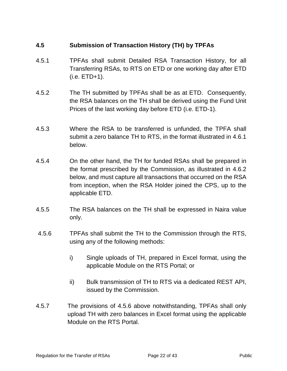#### <span id="page-21-0"></span>**4.5 Submission of Transaction History (TH) by TPFAs**

- 4.5.1 TPFAs shall submit Detailed RSA Transaction History, for all Transferring RSAs, to RTS on ETD or one working day after ETD (i.e. ETD+1).
- 4.5.2 The TH submitted by TPFAs shall be as at ETD. Consequently, the RSA balances on the TH shall be derived using the Fund Unit Prices of the last working day before ETD (i.e. ETD-1).
- 4.5.3 Where the RSA to be transferred is unfunded, the TPFA shall submit a zero balance TH to RTS, in the format illustrated in 4.6.1 below.
- 4.5.4 On the other hand, the TH for funded RSAs shall be prepared in the format prescribed by the Commission, as illustrated in 4.6.2 below, and must capture all transactions that occurred on the RSA from inception, when the RSA Holder joined the CPS, up to the applicable ETD.
- 4.5.5 The RSA balances on the TH shall be expressed in Naira value only.
- 4.5.6 TPFAs shall submit the TH to the Commission through the RTS, using any of the following methods:
	- i) Single uploads of TH, prepared in Excel format, using the applicable Module on the RTS Portal; or
	- ii) Bulk transmission of TH to RTS via a dedicated REST API, issued by the Commission.
- 4.5.7 The provisions of 4.5.6 above notwithstanding, TPFAs shall only upload TH with zero balances in Excel format using the applicable Module on the RTS Portal.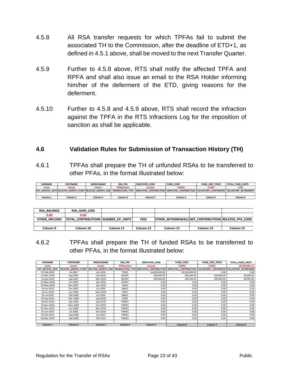- 4.5.8 All RSA transfer requests for which TPFAs fail to submit the associated TH to the Commission, after the deadline of ETD+1, as defined in 4.5.1 above, shall be moved to the next Transfer Quarter.
- 4.5.9 Further to 4.5.8 above, RTS shall notify the affected TPFA and RPFA and shall also issue an email to the RSA Holder informing him/her of the deferment of the ETD, giving reasons for the deferment.
- 4.5.10 Further to 4.5.8 and 4.5.9 above, RTS shall record the infraction against the TPFA in the RTS Infractions Log for the imposition of sanction as shall be applicable.

#### <span id="page-22-0"></span>**4.6 Validation Rules for Submission of Transaction History (TH)**

4.6.1 TPFAs shall prepare the TH of unfunded RSAs to be transferred to other PFAs, in the format illustrated below:

| <b>SURNAME</b> | <b>FIRSTNAME</b>    | <b>MIDDLENAME</b> | <b>RSA PIN</b>    | <b>EMPLOYER CODE</b> | <b>FUND CODE</b>                                                                                                                                               | <b>FUND UNIT PRICE</b> | TOTAL FUND UNITS |
|----------------|---------------------|-------------------|-------------------|----------------------|----------------------------------------------------------------------------------------------------------------------------------------------------------------|------------------------|------------------|
| <b>XXXXX</b>   | <b>XXXXXX</b>       | <b>XXXXXX</b>     | <b>PENXXXXXXX</b> | <b>XXXXXXX</b>       | <b>FUND3</b>                                                                                                                                                   | 3.5001                 | 0.00             |
|                |                     |                   |                   |                      | PAY RECEIVE DATE RELATED MONTH START RELATED MONTH ENDI TRANSACTION TYPE EMPLOYER CONTRIBUTION EMPLOYEE CONTRIBUTION VOLUNTARY CONTINGENT VOLUNTARY RETIREMENT |                        |                  |
|                |                     |                   |                   |                      |                                                                                                                                                                |                        |                  |
| Column 1       | Column <sub>2</sub> | Column 3          | Column 4          | Column 5             | Column 6                                                                                                                                                       | Column 7               | Column 8         |

| <b>RSA BALANCE</b> | RSA GAIN LOSS                              |           |             |                                                      |           |           |
|--------------------|--------------------------------------------|-----------|-------------|------------------------------------------------------|-----------|-----------|
| 0.00               | 0.00                                       |           |             |                                                      |           |           |
| OTHER INFLOWS      | <b>TOTAL CONTRIBUTIONS NUMBER OF UNITS</b> |           | <b>FEES</b> | OTHER WITHDRAWALS NET CONTRIBUTIONS RELATED PFA CODE |           |           |
|                    |                                            |           |             |                                                      |           |           |
| Column 9           | Column 10                                  | Column 11 | Column 12   | Column 13                                            | Column 14 | Column 15 |

4.6.2 TPFAs shall prepare the TH of funded RSAs to be transferred to other PFAs, in the format illustrated below:

| <b>SURNAME</b>      | <b>FIRSTNAME</b>    | <b>MIDDLENAME</b>   | <b>RSA PIN</b>    | <b>EMPLOYER CODE</b> | <b>FUND CODE</b>                                                                                                                                              | <b>FUND UNIT PRICE</b> | TOTAL FUND UNITS |
|---------------------|---------------------|---------------------|-------------------|----------------------|---------------------------------------------------------------------------------------------------------------------------------------------------------------|------------------------|------------------|
| <b>XXXXX</b>        | <b>XXXXXX</b>       | <b>XXXXXX</b>       | <b>PENXXXXXXX</b> | <b>XXXXXXX</b>       | <b>FUND3</b>                                                                                                                                                  | 3.5001                 | 49.046.881.12    |
|                     |                     |                     |                   |                      | PAY RECEIVE DATE RELATED MONTH START RELATED MONTH END TRANSACTION TYPE EMPLOYER CONTRIBUTION EMPLOYEE CONTRIBUTION VOLUNTARY CONTINGENT VOLUNTARY RETIREMENT |                        |                  |
| 07-Feb-2018         | Jul-2007            | Jan-2018            | TF003             | 44.000.000.00        | 54,500,000.00                                                                                                                                                 | 0.00                   | 0.00             |
| 12-Mar-2018         | Aug-2007            | Feb-2018            | MC001             | 640.000.00           | 284.444.44                                                                                                                                                    | 100,000,00             | 40,000.00        |
| 16-Apr-2018         | Sep-2007            | Mar-2018            | MC001             | 640,000.00           | 284.444.44                                                                                                                                                    | 100,000.00             | 40,000.00        |
| 10-May-2018         | Oct-2007            | Apr-2018            | WT001             | 0.00                 | 0.00                                                                                                                                                          | 0.00                   | 0.00             |
| 10-May-2018         | Nov-2007            | Apr-2018            | TAX01             | 0.00                 | 0.00                                                                                                                                                          | 0.00                   | 0.00             |
| 19-Jun-2018         | Dec-2007            | Jun-2004            | AR001             | 0.00                 | 0.00                                                                                                                                                          | 0.00                   | 0.00             |
| 19-Jun-2018         | Jan-2008            | May-2018            | CREF1             | 0.00                 | 0.00                                                                                                                                                          | 0.00                   | 0.00             |
| 01-Jul-2018         | Feb-2008            | Jun-2004            | AR001             | 0.00                 | 0.00                                                                                                                                                          | 0.00                   | 0.00             |
| 03-Sep-2018         | Mar-2008            | Aug-2018            | LS001             | 0.00                 | 0.00                                                                                                                                                          | 0.00                   | 0.00             |
| 04-Oct-2018         | Apr-2008            | Sep-2018            | PW001             | 0.00                 | 0.00                                                                                                                                                          | 0.00                   | 0.00             |
| 19-Nov-2018         | May-2008            | Oct-2018            | PW001             | 0.00                 | 0.00                                                                                                                                                          | 0.00                   | 0.00             |
| 01-Dec-2018         | Jun-2008            | Nov-2018            | PW001             | 0.00                 | 0.00                                                                                                                                                          | 0.00                   | 0.00             |
| 02-Jan-2019         | Jul-2008            | Dec-2018            | PW001             | 0.00                 | 0.00                                                                                                                                                          | 0.00                   | 0.00             |
| 03-Feb-2019         | Aug-2008            | Jan-2019            | PW001             | 0.00                 | 0.00                                                                                                                                                          | 0.00                   | 0.00             |
| 04-Mar-2019         | Sep-2008            | Feb-2019            | PW001             | 0.00                 | 0.00                                                                                                                                                          | 0.00                   | 0.00             |
|                     |                     |                     |                   |                      |                                                                                                                                                               |                        |                  |
| Column <sub>1</sub> | Column <sub>2</sub> | Column <sub>3</sub> | Column 4          | Column <sub>5</sub>  | Column <sub>6</sub>                                                                                                                                           | Column <sub>7</sub>    | Column 8         |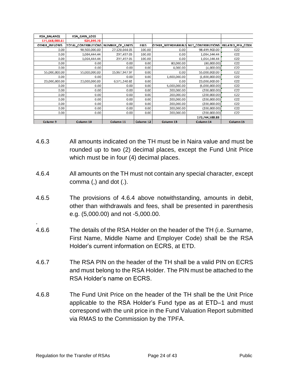| RSA_BALANCE    | RSA GAIN LOSS       |                 |             |                   |                                    |           |
|----------------|---------------------|-----------------|-------------|-------------------|------------------------------------|-----------|
| 171,668,988.61 | 924,399.73          |                 |             |                   |                                    |           |
| OTHER INFLOWS  | TOTAL_CONTRIBUTIONS | NUMBER OF UNITS | <b>FEES</b> | OTHER WITHDRAWALS | NET_CONTRIBUTIONS RELATED_PFA_CODE |           |
| 0.00           | 98,500,000.00       | 27,120,044.05   | 100.00      | 0.00              | 98,499,900.00                      | 022       |
| 0.00           | 1,064,444.44        | 297,497.05      | 100.00      | 0.00              | 1,064,344.44                       | 022       |
| 0.00           | 1,064,444.44        | 297,497.05      | 100.00      | 0.00              | 1,064,344.44                       | 022       |
| 0.00           | 0.00                | 0.00            | 0.00        | 80,000.00         | (80,000,00)                        | 022       |
| 0.00           | 0.00                | 0.00            | 0.00        | 4,000.00          | (4,000.00)                         | 022       |
| 55,000,000.00  | 55,000,000.00       | 15,967,947.97   | 0.00        | 0.00              | 55,000,000.00                      | 022       |
| 0.00           | 0.00                | 0.00            | 0.00        | 1,600,000.00      | (1,600,000.00)                     | 022       |
| 23,000,000.00  | 23,000,000.00       | 6,571,240.82    | 0.00        | 0.00              | 23,000,000.00                      | 022       |
| 0.00           | 0.00                | 0.00            | 0.00        | 5,000,000.00      | (5,000,000.00)                     | 022       |
| 0.00           | 0.00                | 0.00            | 0.00        | 200,000.00        | (200,000.00)                       | 022       |
| 0.00           | 0.00                | 0.00            | 0.00        | 200,000.00        | (200,000.00)                       | 022       |
| 0.00           | 0.00                | 0.00            | 0.00        | 200,000.00        | (200,000.00)                       | 022       |
| 0.00           | 0.00                | 0.00            | 0.00        | 200.000.00        | (200,000.00)                       | 022       |
| 0.00           | 0.00                | 0.00            | 0.00        | 200,000.00        | (200,000.00)                       | 022       |
| 0.00           | 0.00                | 0.00            | 0.00        | 200,000.00        | (200,000.00)                       | 022       |
|                |                     |                 |             |                   | 170,744,588.88                     |           |
| Column 9       | Column 10           | Column 11       | Column 12   | Column 13         | Column 14                          | Column 15 |

- 4.6.3 All amounts indicated on the TH must be in Naira value and must be rounded up to two (2) decimal places, except the Fund Unit Price which must be in four (4) decimal places.
- 4.6.4 All amounts on the TH must not contain any special character, except comma $($ , $)$  and dot  $($ . $)$ .
- 4.6.5 The provisions of 4.6.4 above notwithstanding, amounts in debit, other than withdrawals and fees, shall be presented in parenthesis e.g. (5,000.00) and not -5,000.00.
- 4.6.6 The details of the RSA Holder on the header of the TH (i.e. Surname, First Name, Middle Name and Employer Code) shall be the RSA Holder's current information on ECRS, at ETD.
- 4.6.7 The RSA PIN on the header of the TH shall be a valid PIN on ECRS and must belong to the RSA Holder. The PIN must be attached to the RSA Holder's name on ECRS.
- 4.6.8 The Fund Unit Price on the header of the TH shall be the Unit Price applicable to the RSA Holder's Fund type as at ETD–1 and must correspond with the unit price in the Fund Valuation Report submitted via RMAS to the Commission by the TPFA.

.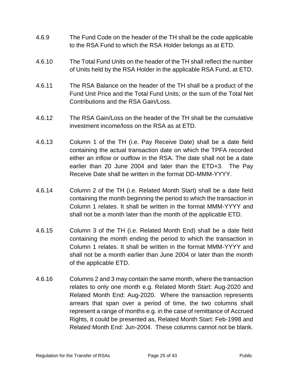- 4.6.9 The Fund Code on the header of the TH shall be the code applicable to the RSA Fund to which the RSA Holder belongs as at ETD.
- 4.6.10 The Total Fund Units on the header of the TH shall reflect the number of Units held by the RSA Holder in the applicable RSA Fund, at ETD.
- 4.6.11 The RSA Balance on the header of the TH shall be a product of the Fund Unit Price and the Total Fund Units; or the sum of the Total Net Contributions and the RSA Gain/Loss.
- 4.6.12 The RSA Gain/Loss on the header of the TH shall be the cumulative investment income/loss on the RSA as at ETD.
- 4.6.13 Column 1 of the TH (i.e. Pay Receive Date) shall be a date field containing the actual transaction date on which the TPFA recorded either an inflow or outflow in the RSA. The date shall not be a date earlier than 20 June 2004 and later than the ETD+3. The Pay Receive Date shall be written in the format DD-MMM-YYYY.
- 4.6.14 Column 2 of the TH (i.e. Related Month Start) shall be a date field containing the month beginning the period to which the transaction in Column 1 relates. It shall be written in the format MMM-YYYY and shall not be a month later than the month of the applicable ETD.
- 4.6.15 Column 3 of the TH (i.e. Related Month End) shall be a date field containing the month ending the period to which the transaction in Column 1 relates. It shall be written in the format MMM-YYYY and shall not be a month earlier than June 2004 or later than the month of the applicable ETD.
- 4.6.16 Columns 2 and 3 may contain the same month, where the transaction relates to only one month e.g. Related Month Start: Aug-2020 and Related Month End: Aug-2020. Where the transaction represents arrears that span over a period of time, the two columns shall represent a range of months e.g. in the case of remittance of Accrued Rights, it could be presented as, Related Month Start: Feb-1998 and Related Month End: Jun-2004. These columns cannot not be blank.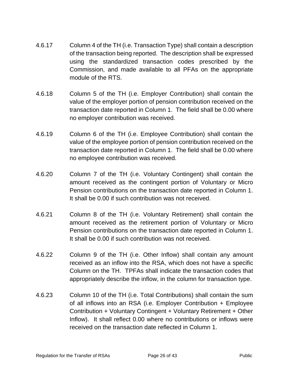- 4.6.17 Column 4 of the TH (i.e. Transaction Type) shall contain a description of the transaction being reported. The description shall be expressed using the standardized transaction codes prescribed by the Commission, and made available to all PFAs on the appropriate module of the RTS.
- 4.6.18 Column 5 of the TH (i.e. Employer Contribution) shall contain the value of the employer portion of pension contribution received on the transaction date reported in Column 1. The field shall be 0.00 where no employer contribution was received.
- 4.6.19 Column 6 of the TH (i.e. Employee Contribution) shall contain the value of the employee portion of pension contribution received on the transaction date reported in Column 1. The field shall be 0.00 where no employee contribution was received.
- 4.6.20 Column 7 of the TH (i.e. Voluntary Contingent) shall contain the amount received as the contingent portion of Voluntary or Micro Pension contributions on the transaction date reported in Column 1. It shall be 0.00 if such contribution was not received.
- 4.6.21 Column 8 of the TH (i.e. Voluntary Retirement) shall contain the amount received as the retirement portion of Voluntary or Micro Pension contributions on the transaction date reported in Column 1. It shall be 0.00 if such contribution was not received.
- 4.6.22 Column 9 of the TH (i.e. Other Inflow) shall contain any amount received as an inflow into the RSA, which does not have a specific Column on the TH. TPFAs shall indicate the transaction codes that appropriately describe the inflow, in the column for transaction type.
- 4.6.23 Column 10 of the TH (i.e. Total Contributions) shall contain the sum of all inflows into an RSA (i.e. Employer Contribution + Employee Contribution + Voluntary Contingent + Voluntary Retirement + Other Inflow). It shall reflect 0.00 where no contributions or inflows were received on the transaction date reflected in Column 1.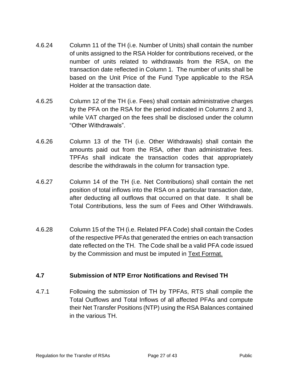- 4.6.24 Column 11 of the TH (i.e. Number of Units) shall contain the number of units assigned to the RSA Holder for contributions received, or the number of units related to withdrawals from the RSA, on the transaction date reflected in Column 1. The number of units shall be based on the Unit Price of the Fund Type applicable to the RSA Holder at the transaction date.
- 4.6.25 Column 12 of the TH (i.e. Fees) shall contain administrative charges by the PFA on the RSA for the period indicated in Columns 2 and 3, while VAT charged on the fees shall be disclosed under the column "Other Withdrawals".
- 4.6.26 Column 13 of the TH (i.e. Other Withdrawals) shall contain the amounts paid out from the RSA, other than administrative fees. TPFAs shall indicate the transaction codes that appropriately describe the withdrawals in the column for transaction type.
- 4.6.27 Column 14 of the TH (i.e. Net Contributions) shall contain the net position of total inflows into the RSA on a particular transaction date, after deducting all outflows that occurred on that date. It shall be Total Contributions, less the sum of Fees and Other Withdrawals.
- 4.6.28 Column 15 of the TH (i.e. Related PFA Code) shall contain the Codes of the respective PFAs that generated the entries on each transaction date reflected on the TH. The Code shall be a valid PFA code issued by the Commission and must be imputed in Text Format.

#### <span id="page-26-0"></span>**4.7 Submission of NTP Error Notifications and Revised TH**

4.7.1 Following the submission of TH by TPFAs, RTS shall compile the Total Outflows and Total Inflows of all affected PFAs and compute their Net Transfer Positions (NTP) using the RSA Balances contained in the various TH.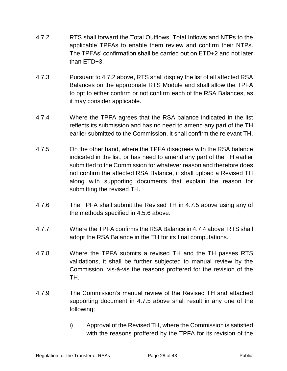- 4.7.2 RTS shall forward the Total Outflows, Total Inflows and NTPs to the applicable TPFAs to enable them review and confirm their NTPs. The TPFAs' confirmation shall be carried out on ETD+2 and not later than ETD+3.
- 4.7.3 Pursuant to 4.7.2 above, RTS shall display the list of all affected RSA Balances on the appropriate RTS Module and shall allow the TPFA to opt to either confirm or not confirm each of the RSA Balances, as it may consider applicable.
- 4.7.4 Where the TPFA agrees that the RSA balance indicated in the list reflects its submission and has no need to amend any part of the TH earlier submitted to the Commission, it shall confirm the relevant TH.
- 4.7.5 On the other hand, where the TPFA disagrees with the RSA balance indicated in the list, or has need to amend any part of the TH earlier submitted to the Commission for whatever reason and therefore does not confirm the affected RSA Balance, it shall upload a Revised TH along with supporting documents that explain the reason for submitting the revised TH.
- 4.7.6 The TPFA shall submit the Revised TH in 4.7.5 above using any of the methods specified in 4.5.6 above.
- 4.7.7 Where the TPFA confirms the RSA Balance in 4.7.4 above, RTS shall adopt the RSA Balance in the TH for its final computations.
- 4.7.8 Where the TPFA submits a revised TH and the TH passes RTS validations, it shall be further subjected to manual review by the Commission, vis-à-vis the reasons proffered for the revision of the TH.
- 4.7.9 The Commission's manual review of the Revised TH and attached supporting document in 4.7.5 above shall result in any one of the following:
	- i) Approval of the Revised TH, where the Commission is satisfied with the reasons proffered by the TPFA for its revision of the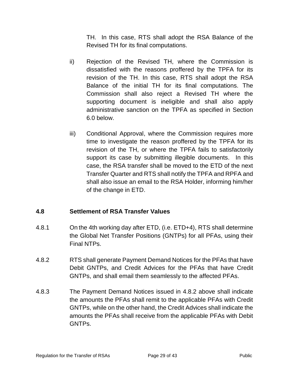TH. In this case, RTS shall adopt the RSA Balance of the Revised TH for its final computations.

- ii) Rejection of the Revised TH, where the Commission is dissatisfied with the reasons proffered by the TPFA for its revision of the TH. In this case, RTS shall adopt the RSA Balance of the initial TH for its final computations. The Commission shall also reject a Revised TH where the supporting document is ineligible and shall also apply administrative sanction on the TPFA as specified in Section 6.0 below.
- iii) Conditional Approval, where the Commission requires more time to investigate the reason proffered by the TPFA for its revision of the TH, or where the TPFA fails to satisfactorily support its case by submitting illegible documents. In this case, the RSA transfer shall be moved to the ETD of the next Transfer Quarter and RTS shall notify the TPFA and RPFA and shall also issue an email to the RSA Holder, informing him/her of the change in ETD.

#### <span id="page-28-0"></span>**4.8 Settlement of RSA Transfer Values**

- 4.8.1 On the 4th working day after ETD, (i.e. ETD+4), RTS shall determine the Global Net Transfer Positions (GNTPs) for all PFAs, using their Final NTPs.
- 4.8.2 RTS shall generate Payment Demand Notices for the PFAs that have Debit GNTPs, and Credit Advices for the PFAs that have Credit GNTPs, and shall email them seamlessly to the affected PFAs.
- 4.8.3 The Payment Demand Notices issued in 4.8.2 above shall indicate the amounts the PFAs shall remit to the applicable PFAs with Credit GNTPs, while on the other hand, the Credit Advices shall indicate the amounts the PFAs shall receive from the applicable PFAs with Debit GNTPs.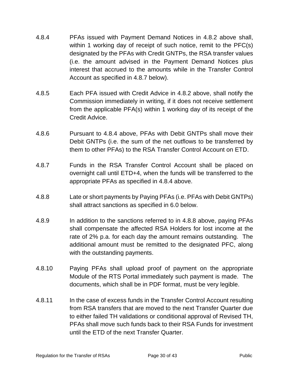- 4.8.4 PFAs issued with Payment Demand Notices in 4.8.2 above shall, within 1 working day of receipt of such notice, remit to the PFC(s) designated by the PFAs with Credit GNTPs, the RSA transfer values (i.e. the amount advised in the Payment Demand Notices plus interest that accrued to the amounts while in the Transfer Control Account as specified in 4.8.7 below).
- 4.8.5 Each PFA issued with Credit Advice in 4.8.2 above, shall notify the Commission immediately in writing, if it does not receive settlement from the applicable PFA(s) within 1 working day of its receipt of the Credit Advice.
- 4.8.6 Pursuant to 4.8.4 above, PFAs with Debit GNTPs shall move their Debit GNTPs (i.e. the sum of the net outflows to be transferred by them to other PFAs) to the RSA Transfer Control Account on ETD.
- 4.8.7 Funds in the RSA Transfer Control Account shall be placed on overnight call until ETD+4, when the funds will be transferred to the appropriate PFAs as specified in 4.8.4 above.
- 4.8.8 Late or short payments by Paying PFAs (i.e. PFAs with Debit GNTPs) shall attract sanctions as specified in 6.0 below.
- 4.8.9 In addition to the sanctions referred to in 4.8.8 above, paying PFAs shall compensate the affected RSA Holders for lost income at the rate of 2% p.a. for each day the amount remains outstanding. The additional amount must be remitted to the designated PFC, along with the outstanding payments.
- 4.8.10 Paying PFAs shall upload proof of payment on the appropriate Module of the RTS Portal immediately such payment is made. The documents, which shall be in PDF format, must be very legible.
- 4.8.11 In the case of excess funds in the Transfer Control Account resulting from RSA transfers that are moved to the next Transfer Quarter due to either failed TH validations or conditional approval of Revised TH, PFAs shall move such funds back to their RSA Funds for investment until the ETD of the next Transfer Quarter.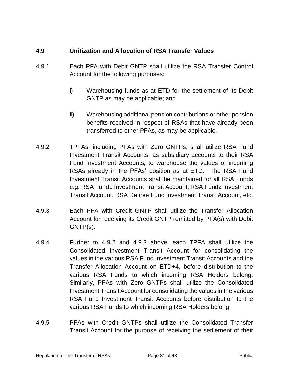#### <span id="page-30-0"></span>**4.9 Unitization and Allocation of RSA Transfer Values**

- 4.9.1 Each PFA with Debit GNTP shall utilize the RSA Transfer Control Account for the following purposes:
	- i) Warehousing funds as at ETD for the settlement of its Debit GNTP as may be applicable; and
	- ii) Warehousing additional pension contributions or other pension benefits received in respect of RSAs that have already been transferred to other PFAs, as may be applicable.
- 4.9.2 TPFAs, including PFAs with Zero GNTPs, shall utilize RSA Fund Investment Transit Accounts, as subsidiary accounts to their RSA Fund Investment Accounts, to warehouse the values of incoming RSAs already in the PFAs' position as at ETD. The RSA Fund Investment Transit Accounts shall be maintained for all RSA Funds e.g. RSA Fund1 Investment Transit Account, RSA Fund2 Investment Transit Account, RSA Retiree Fund Investment Transit Account, etc.
- 4.9.3 Each PFA with Credit GNTP shall utilize the Transfer Allocation Account for receiving its Credit GNTP remitted by PFA(s) with Debit GNTP(s).
- 4.9.4 Further to 4.9.2 and 4.9.3 above, each TPFA shall utilize the Consolidated Investment Transit Account for consolidating the values in the various RSA Fund Investment Transit Accounts and the Transfer Allocation Account on ETD+4, before distribution to the various RSA Funds to which incoming RSA Holders belong. Similarly, PFAs with Zero GNTPs shall utilize the Consolidated Investment Transit Account for consolidating the values in the various RSA Fund Investment Transit Accounts before distribution to the various RSA Funds to which incoming RSA Holders belong.
- 4.9.5 PFAs with Credit GNTPs shall utilize the Consolidated Transfer Transit Account for the purpose of receiving the settlement of their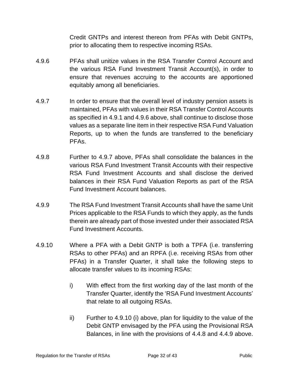Credit GNTPs and interest thereon from PFAs with Debit GNTPs, prior to allocating them to respective incoming RSAs.

- 4.9.6 PFAs shall unitize values in the RSA Transfer Control Account and the various RSA Fund Investment Transit Account(s), in order to ensure that revenues accruing to the accounts are apportioned equitably among all beneficiaries.
- 4.9.7 In order to ensure that the overall level of industry pension assets is maintained, PFAs with values in their RSA Transfer Control Accounts as specified in 4.9.1 and 4.9.6 above, shall continue to disclose those values as a separate line item in their respective RSA Fund Valuation Reports, up to when the funds are transferred to the beneficiary PFAs.
- 4.9.8 Further to 4.9.7 above, PFAs shall consolidate the balances in the various RSA Fund Investment Transit Accounts with their respective RSA Fund Investment Accounts and shall disclose the derived balances in their RSA Fund Valuation Reports as part of the RSA Fund Investment Account balances.
- 4.9.9 The RSA Fund Investment Transit Accounts shall have the same Unit Prices applicable to the RSA Funds to which they apply, as the funds therein are already part of those invested under their associated RSA Fund Investment Accounts.
- 4.9.10 Where a PFA with a Debit GNTP is both a TPFA (i.e. transferring RSAs to other PFAs) and an RPFA (i.e. receiving RSAs from other PFAs) in a Transfer Quarter, it shall take the following steps to allocate transfer values to its incoming RSAs:
	- i) With effect from the first working day of the last month of the Transfer Quarter, identify the 'RSA Fund Investment Accounts' that relate to all outgoing RSAs.
	- ii) Further to 4.9.10 (i) above, plan for liquidity to the value of the Debit GNTP envisaged by the PFA using the Provisional RSA Balances, in line with the provisions of 4.4.8 and 4.4.9 above.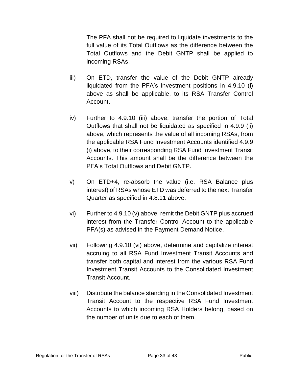The PFA shall not be required to liquidate investments to the full value of its Total Outflows as the difference between the Total Outflows and the Debit GNTP shall be applied to incoming RSAs.

- iii) On ETD, transfer the value of the Debit GNTP already liquidated from the PFA's investment positions in 4.9.10 (i) above as shall be applicable, to its RSA Transfer Control Account.
- iv) Further to 4.9.10 (iii) above, transfer the portion of Total Outflows that shall not be liquidated as specified in 4.9.9 (ii) above, which represents the value of all incoming RSAs, from the applicable RSA Fund Investment Accounts identified 4.9.9 (i) above, to their corresponding RSA Fund Investment Transit Accounts. This amount shall be the difference between the PFA's Total Outflows and Debit GNTP.
- v) On ETD+4, re-absorb the value (i.e. RSA Balance plus interest) of RSAs whose ETD was deferred to the next Transfer Quarter as specified in 4.8.11 above.
- vi) Further to 4.9.10 (v) above, remit the Debit GNTP plus accrued interest from the Transfer Control Account to the applicable PFA(s) as advised in the Payment Demand Notice.
- vii) Following 4.9.10 (vi) above, determine and capitalize interest accruing to all RSA Fund Investment Transit Accounts and transfer both capital and interest from the various RSA Fund Investment Transit Accounts to the Consolidated Investment Transit Account.
- viii) Distribute the balance standing in the Consolidated Investment Transit Account to the respective RSA Fund Investment Accounts to which incoming RSA Holders belong, based on the number of units due to each of them.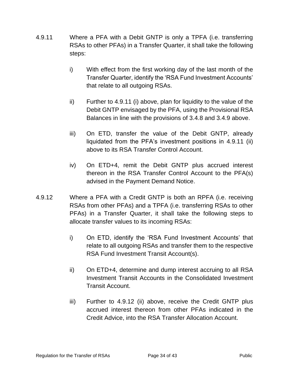- 4.9.11 Where a PFA with a Debit GNTP is only a TPFA (i.e. transferring RSAs to other PFAs) in a Transfer Quarter, it shall take the following steps:
	- i) With effect from the first working day of the last month of the Transfer Quarter, identify the 'RSA Fund Investment Accounts' that relate to all outgoing RSAs.
	- ii) Further to 4.9.11 (i) above, plan for liquidity to the value of the Debit GNTP envisaged by the PFA, using the Provisional RSA Balances in line with the provisions of 3.4.8 and 3.4.9 above.
	- iii) On ETD, transfer the value of the Debit GNTP, already liquidated from the PFA's investment positions in 4.9.11 (ii) above to its RSA Transfer Control Account.
	- iv) On ETD+4, remit the Debit GNTP plus accrued interest thereon in the RSA Transfer Control Account to the PFA(s) advised in the Payment Demand Notice.
- 4.9.12 Where a PFA with a Credit GNTP is both an RPFA (i.e. receiving RSAs from other PFAs) and a TPFA (i.e. transferring RSAs to other PFAs) in a Transfer Quarter, it shall take the following steps to allocate transfer values to its incoming RSAs:
	- i) On ETD, identify the 'RSA Fund Investment Accounts' that relate to all outgoing RSAs and transfer them to the respective RSA Fund Investment Transit Account(s).
	- ii) On ETD+4, determine and dump interest accruing to all RSA Investment Transit Accounts in the Consolidated Investment Transit Account.
	- iii) Further to 4.9.12 (ii) above, receive the Credit GNTP plus accrued interest thereon from other PFAs indicated in the Credit Advice, into the RSA Transfer Allocation Account.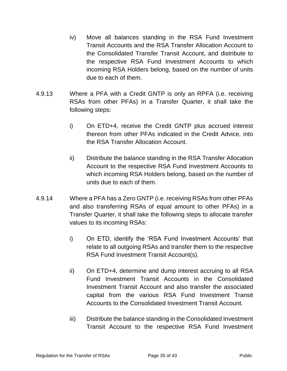- iv) Move all balances standing in the RSA Fund Investment Transit Accounts and the RSA Transfer Allocation Account to the Consolidated Transfer Transit Account, and distribute to the respective RSA Fund Investment Accounts to which incoming RSA Holders belong, based on the number of units due to each of them.
- 4.9.13 Where a PFA with a Credit GNTP is only an RPFA (i.e. receiving RSAs from other PFAs) in a Transfer Quarter, it shall take the following steps:
	- i) On ETD+4, receive the Credit GNTP plus accrued interest thereon from other PFAs indicated in the Credit Advice, into the RSA Transfer Allocation Account.
	- ii) Distribute the balance standing in the RSA Transfer Allocation Account to the respective RSA Fund Investment Accounts to which incoming RSA Holders belong, based on the number of units due to each of them.
- 4.9.14 Where a PFA has a Zero GNTP (i.e. receiving RSAs from other PFAs and also transferring RSAs of equal amount to other PFAs) in a Transfer Quarter, it shall take the following steps to allocate transfer values to its incoming RSAs:
	- i) On ETD, identify the 'RSA Fund Investment Accounts' that relate to all outgoing RSAs and transfer them to the respective RSA Fund Investment Transit Account(s).
	- ii) On ETD+4, determine and dump interest accruing to all RSA Fund Investment Transit Accounts in the Consolidated Investment Transit Account and also transfer the associated capital from the various RSA Fund Investment Transit Accounts to the Consolidated Investment Transit Account.
	- iii) Distribute the balance standing in the Consolidated Investment Transit Account to the respective RSA Fund Investment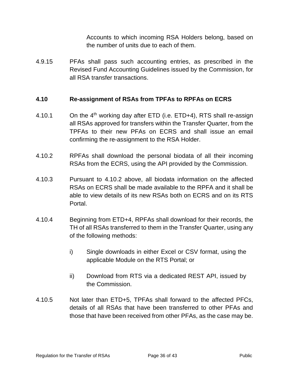Accounts to which incoming RSA Holders belong, based on the number of units due to each of them.

4.9.15 PFAs shall pass such accounting entries, as prescribed in the Revised Fund Accounting Guidelines issued by the Commission, for all RSA transfer transactions.

#### <span id="page-35-0"></span>**4.10 Re-assignment of RSAs from TPFAs to RPFAs on ECRS**

- 4.10.1 On the  $4<sup>th</sup>$  working day after ETD (i.e. ETD+4), RTS shall re-assign all RSAs approved for transfers within the Transfer Quarter, from the TPFAs to their new PFAs on ECRS and shall issue an email confirming the re-assignment to the RSA Holder.
- 4.10.2 RPFAs shall download the personal biodata of all their incoming RSAs from the ECRS, using the API provided by the Commission.
- 4.10.3 Pursuant to 4.10.2 above, all biodata information on the affected RSAs on ECRS shall be made available to the RPFA and it shall be able to view details of its new RSAs both on ECRS and on its RTS Portal.
- 4.10.4 Beginning from ETD+4, RPFAs shall download for their records, the TH of all RSAs transferred to them in the Transfer Quarter, using any of the following methods:
	- i) Single downloads in either Excel or CSV format, using the applicable Module on the RTS Portal; or
	- ii) Download from RTS via a dedicated REST API, issued by the Commission.
- 4.10.5 Not later than ETD+5, TPFAs shall forward to the affected PFCs, details of all RSAs that have been transferred to other PFAs and those that have been received from other PFAs, as the case may be.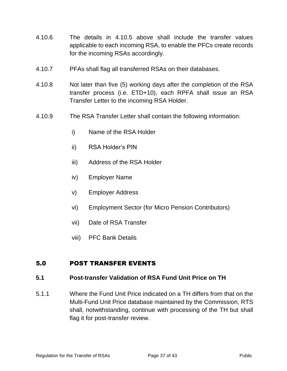- 4.10.6 The details in 4.10.5 above shall include the transfer values applicable to each incoming RSA, to enable the PFCs create records for the incoming RSAs accordingly.
- 4.10.7 PFAs shall flag all transferred RSAs on their databases.
- 4.10.8 Not later than five (5) working days after the completion of the RSA transfer process (i.e. ETD+10), each RPFA shall issue an RSA Transfer Letter to the incoming RSA Holder.
- 4.10.9 The RSA Transfer Letter shall contain the following information:
	- i) Name of the RSA Holder
	- ii) RSA Holder's PIN
	- iii) Address of the RSA Holder
	- iv) Employer Name
	- v) Employer Address
	- vi) Employment Sector (for Micro Pension Contributors)
	- vii) Date of RSA Transfer
	- viii) PFC Bank Details

#### <span id="page-36-0"></span>5.0 POST TRANSFER EVENTS

#### <span id="page-36-1"></span>**5.1 Post-transfer Validation of RSA Fund Unit Price on TH**

5.1.1 Where the Fund Unit Price indicated on a TH differs from that on the Multi-Fund Unit Price database maintained by the Commission, RTS shall, notwithstanding, continue with processing of the TH but shall flag it for post-transfer review.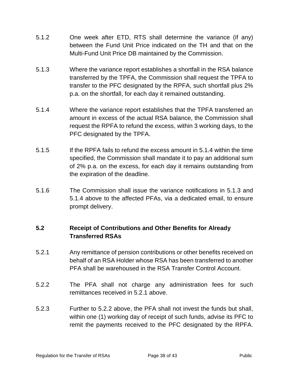- 5.1.2 One week after ETD, RTS shall determine the variance (if any) between the Fund Unit Price indicated on the TH and that on the Multi-Fund Unit Price DB maintained by the Commission.
- 5.1.3 Where the variance report establishes a shortfall in the RSA balance transferred by the TPFA, the Commission shall request the TPFA to transfer to the PFC designated by the RPFA, such shortfall plus 2% p.a. on the shortfall, for each day it remained outstanding.
- 5.1.4 Where the variance report establishes that the TPFA transferred an amount in excess of the actual RSA balance, the Commission shall request the RPFA to refund the excess, within 3 working days, to the PFC designated by the TPFA.
- 5.1.5 If the RPFA fails to refund the excess amount in 5.1.4 within the time specified, the Commission shall mandate it to pay an additional sum of 2% p.a. on the excess, for each day it remains outstanding from the expiration of the deadline.
- 5.1.6 The Commission shall issue the variance notifications in 5.1.3 and 5.1.4 above to the affected PFAs, via a dedicated email, to ensure prompt delivery.

#### <span id="page-37-0"></span>**5.2 Receipt of Contributions and Other Benefits for Already Transferred RSAs**

- 5.2.1 Any remittance of pension contributions or other benefits received on behalf of an RSA Holder whose RSA has been transferred to another PFA shall be warehoused in the RSA Transfer Control Account.
- 5.2.2 The PFA shall not charge any administration fees for such remittances received in 5.2.1 above.
- 5.2.3 Further to 5.2.2 above, the PFA shall not invest the funds but shall, within one (1) working day of receipt of such funds, advise its PFC to remit the payments received to the PFC designated by the RPFA.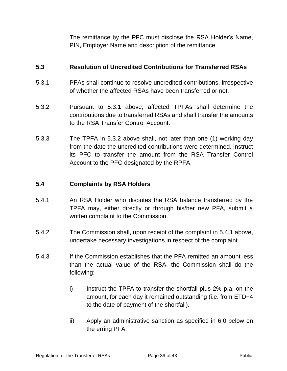The remittance by the PFC must disclose the RSA Holder's Name, PIN, Employer Name and description of the remittance.

#### <span id="page-38-0"></span>**5.3 Resolution of Uncredited Contributions for Transferred RSAs**

- 5.3.1 PFAs shall continue to resolve uncredited contributions, irrespective of whether the affected RSAs have been transferred or not.
- 5.3.2 Pursuant to 5.3.1 above, affected TPFAs shall determine the contributions due to transferred RSAs and shall transfer the amounts to the RSA Transfer Control Account.
- 5.3.3 The TPFA in 5.3.2 above shall, not later than one (1) working day from the date the uncredited contributions were determined, instruct its PFC to transfer the amount from the RSA Transfer Control Account to the PFC designated by the RPFA.

#### <span id="page-38-1"></span>**5.4 Complaints by RSA Holders**

- 5.4.1 An RSA Holder who disputes the RSA balance transferred by the TPFA may, either directly or through his/her new PFA, submit a written complaint to the Commission.
- 5.4.2 The Commission shall, upon receipt of the complaint in 5.4.1 above, undertake necessary investigations in respect of the complaint.
- 5.4.3 If the Commission establishes that the PFA remitted an amount less than the actual value of the RSA, the Commission shall do the following:
	- i) Instruct the TPFA to transfer the shortfall plus 2% p.a. on the amount, for each day it remained outstanding (i.e. from ETD+4 to the date of payment of the shortfall).
	- ii) Apply an administrative sanction as specified in 6.0 below on the erring PFA.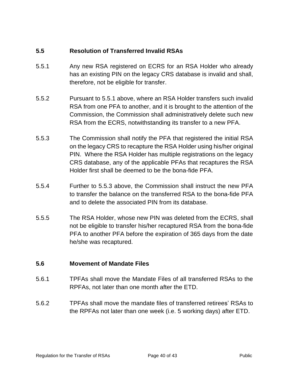#### <span id="page-39-0"></span>**5.5 Resolution of Transferred Invalid RSAs**

- 5.5.1 Any new RSA registered on ECRS for an RSA Holder who already has an existing PIN on the legacy CRS database is invalid and shall, therefore, not be eligible for transfer.
- 5.5.2 Pursuant to 5.5.1 above, where an RSA Holder transfers such invalid RSA from one PFA to another, and it is brought to the attention of the Commission, the Commission shall administratively delete such new RSA from the ECRS, notwithstanding its transfer to a new PFA.
- 5.5.3 The Commission shall notify the PFA that registered the initial RSA on the legacy CRS to recapture the RSA Holder using his/her original PIN. Where the RSA Holder has multiple registrations on the legacy CRS database, any of the applicable PFAs that recaptures the RSA Holder first shall be deemed to be the bona-fide PFA.
- 5.5.4 Further to 5.5.3 above, the Commission shall instruct the new PFA to transfer the balance on the transferred RSA to the bona-fide PFA and to delete the associated PIN from its database.
- 5.5.5 The RSA Holder, whose new PIN was deleted from the ECRS, shall not be eligible to transfer his/her recaptured RSA from the bona-fide PFA to another PFA before the expiration of 365 days from the date he/she was recaptured.

#### <span id="page-39-1"></span>**5.6 Movement of Mandate Files**

- 5.6.1 TPFAs shall move the Mandate Files of all transferred RSAs to the RPFAs, not later than one month after the ETD.
- 5.6.2 TPFAs shall move the mandate files of transferred retirees' RSAs to the RPFAs not later than one week (i.e. 5 working days) after ETD.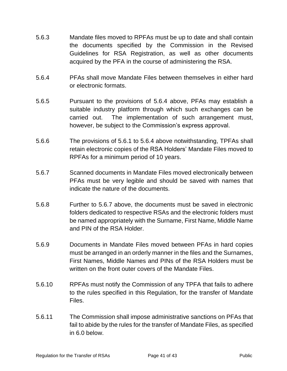- 5.6.3 Mandate files moved to RPFAs must be up to date and shall contain the documents specified by the Commission in the Revised Guidelines for RSA Registration, as well as other documents acquired by the PFA in the course of administering the RSA.
- 5.6.4 PFAs shall move Mandate Files between themselves in either hard or electronic formats.
- 5.6.5 Pursuant to the provisions of 5.6.4 above, PFAs may establish a suitable industry platform through which such exchanges can be carried out. The implementation of such arrangement must, however, be subject to the Commission's express approval.
- 5.6.6 The provisions of 5.6.1 to 5.6.4 above notwithstanding, TPFAs shall retain electronic copies of the RSA Holders' Mandate Files moved to RPFAs for a minimum period of 10 years.
- 5.6.7 Scanned documents in Mandate Files moved electronically between PFAs must be very legible and should be saved with names that indicate the nature of the documents.
- 5.6.8 Further to 5.6.7 above, the documents must be saved in electronic folders dedicated to respective RSAs and the electronic folders must be named appropriately with the Surname, First Name, Middle Name and PIN of the RSA Holder.
- 5.6.9 Documents in Mandate Files moved between PFAs in hard copies must be arranged in an orderly manner in the files and the Surnames, First Names, Middle Names and PINs of the RSA Holders must be written on the front outer covers of the Mandate Files.
- 5.6.10 RPFAs must notify the Commission of any TPFA that fails to adhere to the rules specified in this Regulation, for the transfer of Mandate Files.
- 5.6.11 The Commission shall impose administrative sanctions on PFAs that fail to abide by the rules for the transfer of Mandate Files, as specified in 6.0 below.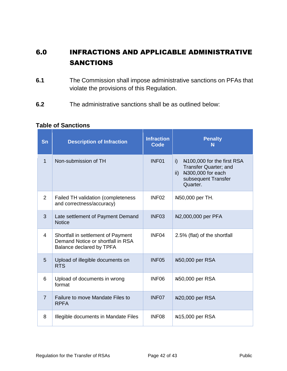# <span id="page-41-0"></span>6.0 INFRACTIONS AND APPLICABLE ADMINISTRATIVE SANCTIONS

- **6.1** The Commission shall impose administrative sanctions on PFAs that violate the provisions of this Regulation.
- **6.2** The administrative sanctions shall be as outlined below:

| Sn             | <b>Description of Infraction</b>                                                                    | <b>Infraction</b><br><b>Code</b> | <b>Penalty</b><br>N                                                                                                                                      |
|----------------|-----------------------------------------------------------------------------------------------------|----------------------------------|----------------------------------------------------------------------------------------------------------------------------------------------------------|
| $\mathbf{1}$   | Non-submission of TH                                                                                | INF <sub>01</sub>                | N <sub>100</sub> ,000 for the first RSA<br>i)<br><b>Transfer Quarter; and</b><br>N300,000 for each<br>$\mathsf{ii}$ )<br>subsequent Transfer<br>Quarter. |
| 2              | <b>Failed TH validation (completeness</b><br>and correctness/accuracy)                              | INF <sub>02</sub>                | N50,000 per TH.                                                                                                                                          |
| 3              | Late settlement of Payment Demand<br><b>Notice</b>                                                  | INF <sub>03</sub>                | N <sub>2</sub> ,000,000 per PFA                                                                                                                          |
| 4              | Shortfall in settlement of Payment<br>Demand Notice or shortfall in RSA<br>Balance declared by TPFA | INF04                            | 2.5% (flat) of the shortfall                                                                                                                             |
| 5              | Upload of illegible documents on<br><b>RTS</b>                                                      | INF <sub>05</sub>                | N50,000 per RSA                                                                                                                                          |
| 6              | Upload of documents in wrong<br>format                                                              | INF <sub>06</sub>                | N50,000 per RSA                                                                                                                                          |
| $\overline{7}$ | Failure to move Mandate Files to<br><b>RPFA</b>                                                     | INF07                            | N20,000 per RSA                                                                                                                                          |
| 8              | Illegible documents in Mandate Files                                                                | INF <sub>08</sub>                | N <sub>15</sub> ,000 per RSA                                                                                                                             |